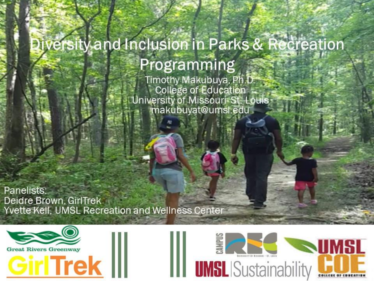#### Diversity and Inclusion in Parks & Recreation Programming

Timothy Makubuya, Ph.D. College of Education University of Missouri-St. Louis makubuyat@umsl.edu

Panelists: Deidre Brown, GirlTrek Yvette Kell, UMSL Recreation and Wellness Center



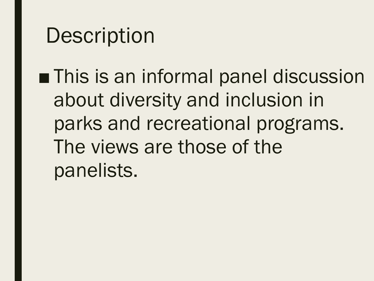#### **Description**

■ This is an informal panel discussion about diversity and inclusion in parks and recreational programs. The views are those of the panelists.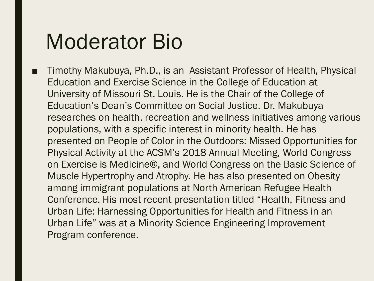#### Moderator Bio

Timothy Makubuya, Ph.D., is an Assistant Professor of Health, Physical Education and Exercise Science in the College of Education at University of Missouri St. Louis. He is the Chair of the College of Education's Dean's Committee on Social Justice. Dr. Makubuya researches on health, recreation and wellness initiatives among various populations, with a specific interest in minority health. He has presented on People of Color in the Outdoors: Missed Opportunities for Physical Activity at the ACSM's 2018 Annual Meeting, World Congress on Exercise is Medicine®, and World Congress on the Basic Science of Muscle Hypertrophy and Atrophy. He has also presented on Obesity among immigrant populations at North American Refugee Health Conference. His most recent presentation titled "Health, Fitness and Urban Life: Harnessing Opportunities for Health and Fitness in an Urban Life" was at a Minority Science Engineering Improvement Program conference.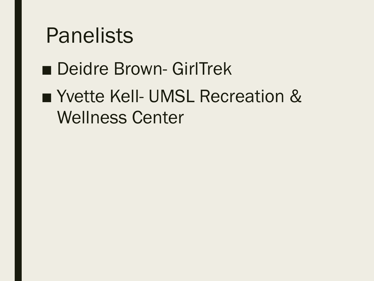#### Panelists

#### ■ Deidre Brown- GirlTrek

#### ■ Yvette Kell- UMSL Recreation & Wellness Center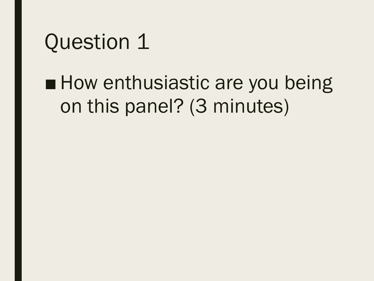#### ■ How enthusiastic are you being on this panel? (3 minutes)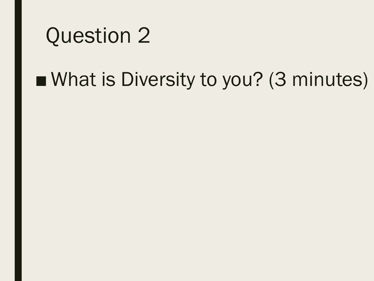#### ■ What is Diversity to you? (3 minutes)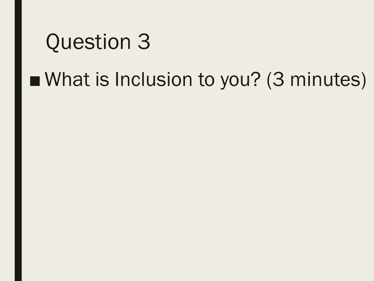#### ■ What is Inclusion to you? (3 minutes)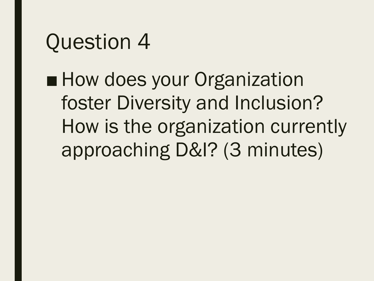■ How does your Organization foster Diversity and Inclusion? How is the organization currently approaching D&I? (3 minutes)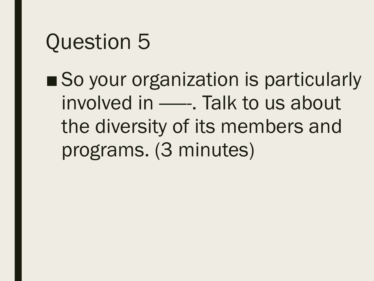■ So your organization is particularly involved in - Falk to us about the diversity of its members and programs. (3 minutes)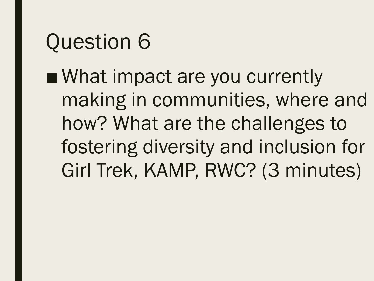■ What impact are you currently making in communities, where and how? What are the challenges to fostering diversity and inclusion for Girl Trek, KAMP, RWC? (3 minutes)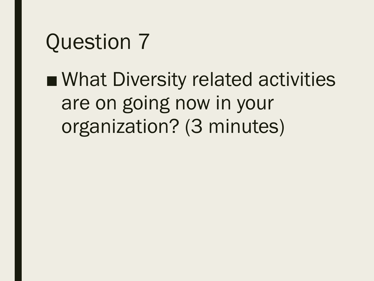■ What Diversity related activities are on going now in your organization? (3 minutes)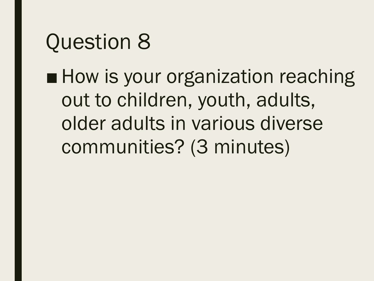■ How is your organization reaching out to children, youth, adults, older adults in various diverse communities? (3 minutes)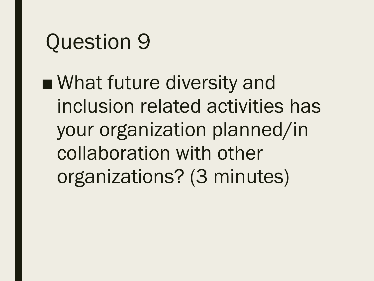■ What future diversity and inclusion related activities has your organization planned/in collaboration with other organizations? (3 minutes)